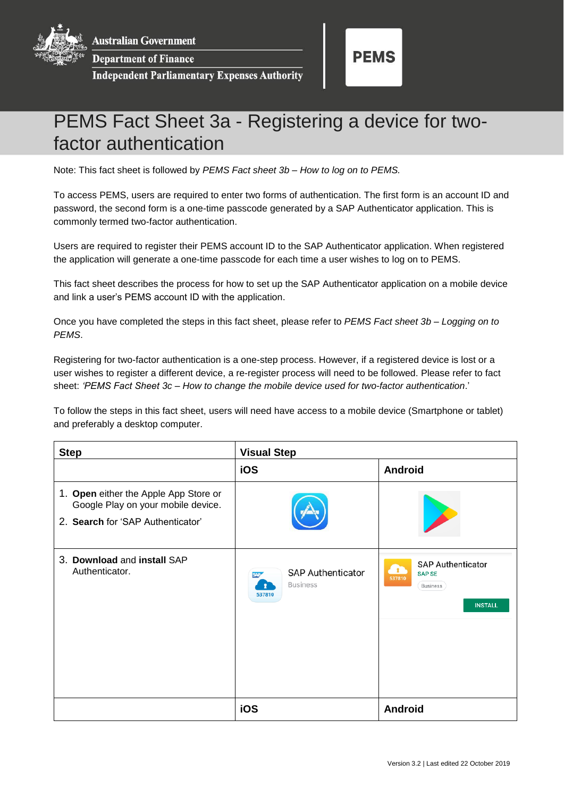**Australian Government** 

**Department of Finance** 

**Independent Parliamentary Expenses Authority** 



## PEMS Fact Sheet 3a - Registering a device for twofactor authentication

Note: This fact sheet is followed by *PEMS Fact sheet 3b – How to log on to PEMS.*

To access PEMS, users are required to enter two forms of authentication. The first form is an account ID and password, the second form is a one-time passcode generated by a SAP Authenticator application. This is commonly termed two-factor authentication.

Users are required to register their PEMS account ID to the SAP Authenticator application. When registered the application will generate a one-time passcode for each time a user wishes to log on to PEMS.

This fact sheet describes the process for how to set up the SAP Authenticator application on a mobile device and link a user's PEMS account ID with the application.

Once you have completed the steps in this fact sheet, please refer to *PEMS Fact sheet 3b – Logging on to PEMS*.

Registering for two-factor authentication is a one-step process. However, if a registered device is lost or a user wishes to register a different device, a re-register process will need to be followed. Please refer to fact sheet: *'PEMS Fact Sheet 3c – How to change the mobile device used for two-factor authentication*.'

To follow the steps in this fact sheet, users will need have access to a mobile device (Smartphone or tablet) and preferably a desktop computer.

| <b>Step</b>                                                                                                      | <b>Visual Step</b>                                                  |                                                                                                          |
|------------------------------------------------------------------------------------------------------------------|---------------------------------------------------------------------|----------------------------------------------------------------------------------------------------------|
|                                                                                                                  | iOS                                                                 | <b>Android</b>                                                                                           |
| 1. Open either the Apple App Store or<br>Google Play on your mobile device.<br>2. Search for 'SAP Authenticator' |                                                                     |                                                                                                          |
| 3. Download and install SAP<br>Authenticator.                                                                    | <b>SAP Authenticator</b><br><b>SAP</b><br><b>Business</b><br>537810 | <b>SAP Authenticator</b><br>$\mathbf{r}$<br><b>SAP SE</b><br>537810<br><b>Business</b><br><b>INSTALL</b> |
|                                                                                                                  | iOS                                                                 | <b>Android</b>                                                                                           |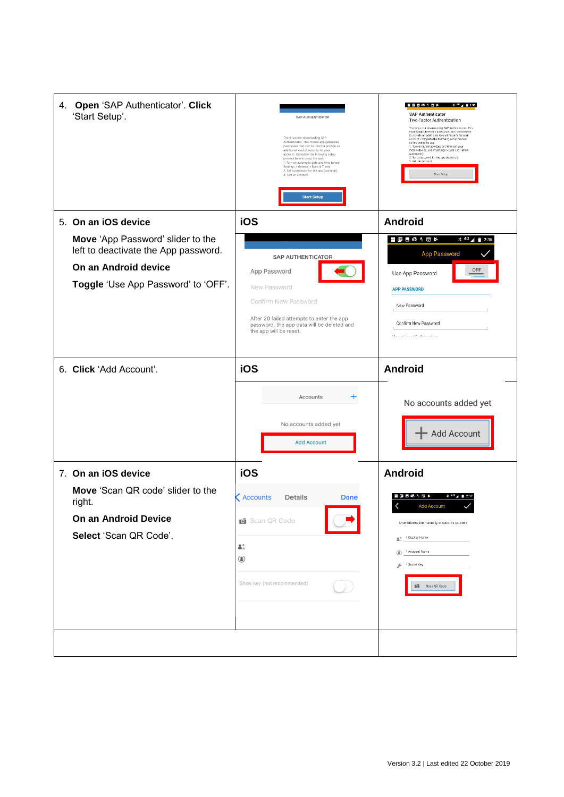| 4. Open 'SAP Authenticator'. Click<br>'Start Setup'.                      | SAP AUTHENTICATOR<br>Thank you for downloading SAP<br>Authenticator. This mobile app generates<br>passcodes that can be used to provide an<br>additional level of security for your<br>account. Complete the following setup<br>process before using the app:<br>1. Turn on automatic date and time (under<br>Settings > General > Date & Time)<br>2. Set a password for the app (optional).<br>3. Add an account.<br><b>Start Setup</b> | $*$ 40 $\angle$ 2:36<br>空間回線 4 日 P<br><b>SAP Authenticator</b><br>Two-Factor Authentication<br>Thank you for downloading SAP Authenticator This<br>mobile app generates passcodes that can be used<br>to provide an additional level of security for your<br>account. Complete the following setup process<br>before using the app:<br>1. Turn on automatic date and time (on your<br>mobile device, under Settings > Date and Time ><br>Automatic).<br>2 Set a password for the app (optional).<br>3 Add an account.<br>Start Selop |
|---------------------------------------------------------------------------|------------------------------------------------------------------------------------------------------------------------------------------------------------------------------------------------------------------------------------------------------------------------------------------------------------------------------------------------------------------------------------------------------------------------------------------|--------------------------------------------------------------------------------------------------------------------------------------------------------------------------------------------------------------------------------------------------------------------------------------------------------------------------------------------------------------------------------------------------------------------------------------------------------------------------------------------------------------------------------------|
| 5. On an iOS device                                                       | iOS                                                                                                                                                                                                                                                                                                                                                                                                                                      | <b>Android</b>                                                                                                                                                                                                                                                                                                                                                                                                                                                                                                                       |
| Move 'App Password' slider to the<br>left to deactivate the App password. | <b>SAP AUTHENTICATOR</b>                                                                                                                                                                                                                                                                                                                                                                                                                 | ◎ E Z ® 4 E ≯<br>$\frac{1}{2}$ 4G $\frac{1}{2}$ 2:36<br>App Password                                                                                                                                                                                                                                                                                                                                                                                                                                                                 |
| On an Android device                                                      | App Password                                                                                                                                                                                                                                                                                                                                                                                                                             | OFF<br>Use App Password                                                                                                                                                                                                                                                                                                                                                                                                                                                                                                              |
| Toggle 'Use App Password' to 'OFF'.                                       | New Password                                                                                                                                                                                                                                                                                                                                                                                                                             | <b>APP PASSWORD</b>                                                                                                                                                                                                                                                                                                                                                                                                                                                                                                                  |
|                                                                           | <b>Confirm New Password</b><br>After 20 failed attempts to enter the app                                                                                                                                                                                                                                                                                                                                                                 | New Password                                                                                                                                                                                                                                                                                                                                                                                                                                                                                                                         |
|                                                                           | password, the app data will be deleted and<br>the app will be reset.                                                                                                                                                                                                                                                                                                                                                                     | Confirm New Password<br>There are homest the absence adverse                                                                                                                                                                                                                                                                                                                                                                                                                                                                         |
|                                                                           |                                                                                                                                                                                                                                                                                                                                                                                                                                          |                                                                                                                                                                                                                                                                                                                                                                                                                                                                                                                                      |
| 6. Click 'Add Account'.                                                   | iOS                                                                                                                                                                                                                                                                                                                                                                                                                                      | <b>Android</b>                                                                                                                                                                                                                                                                                                                                                                                                                                                                                                                       |
|                                                                           | $\pm$<br>Accounts<br>No accounts added yet<br><b>Add Account</b>                                                                                                                                                                                                                                                                                                                                                                         | No accounts added yet<br><b>Add Account</b>                                                                                                                                                                                                                                                                                                                                                                                                                                                                                          |
| 7. On an iOS device                                                       | iOS                                                                                                                                                                                                                                                                                                                                                                                                                                      | <b>Android</b>                                                                                                                                                                                                                                                                                                                                                                                                                                                                                                                       |
| Move 'Scan QR code' slider to the<br>right.                               | < Accounts<br>Details<br><b>Done</b>                                                                                                                                                                                                                                                                                                                                                                                                     | 日根A目P<br><b>Add Account</b>                                                                                                                                                                                                                                                                                                                                                                                                                                                                                                          |
| On an Android Device                                                      | Scan QR Code                                                                                                                                                                                                                                                                                                                                                                                                                             | Enter information manually or scan the QR code                                                                                                                                                                                                                                                                                                                                                                                                                                                                                       |
| Select 'Scan QR Code'.                                                    | 41                                                                                                                                                                                                                                                                                                                                                                                                                                       | * Display Name<br>å.<br>* Account Name                                                                                                                                                                                                                                                                                                                                                                                                                                                                                               |
|                                                                           | ◉                                                                                                                                                                                                                                                                                                                                                                                                                                        | ◉<br>* Secret Key<br>۶                                                                                                                                                                                                                                                                                                                                                                                                                                                                                                               |
|                                                                           | Show key (not recommended)                                                                                                                                                                                                                                                                                                                                                                                                               | Scan QR Code                                                                                                                                                                                                                                                                                                                                                                                                                                                                                                                         |
|                                                                           |                                                                                                                                                                                                                                                                                                                                                                                                                                          |                                                                                                                                                                                                                                                                                                                                                                                                                                                                                                                                      |
|                                                                           |                                                                                                                                                                                                                                                                                                                                                                                                                                          |                                                                                                                                                                                                                                                                                                                                                                                                                                                                                                                                      |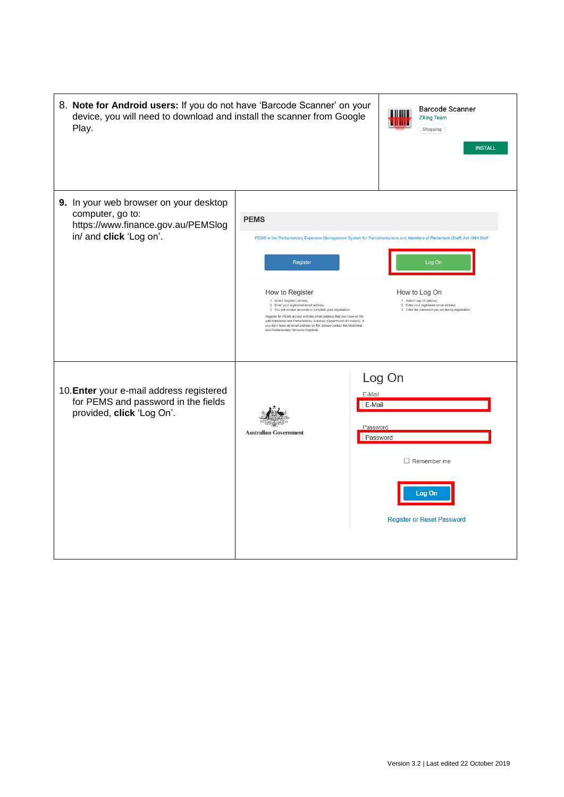| 8. Note for Android users: If you do not have 'Barcode Scanner' on your<br>device, you will need to download and install the scanner from Google<br>Play. |                                                                                                                                                                                                                                                                                                                                                                                                                                                         | <b>Barcode Scanner</b><br><b>ZXing Team</b><br>ШШ<br>Shopping<br><b>INSTALL</b>                                                                                                                                                                                                  |
|-----------------------------------------------------------------------------------------------------------------------------------------------------------|---------------------------------------------------------------------------------------------------------------------------------------------------------------------------------------------------------------------------------------------------------------------------------------------------------------------------------------------------------------------------------------------------------------------------------------------------------|----------------------------------------------------------------------------------------------------------------------------------------------------------------------------------------------------------------------------------------------------------------------------------|
| 9. In your web browser on your desktop<br>computer, go to:<br>https://www.finance.gov.au/PEMSlog<br>in/ and click 'Log on'.                               | <b>PEMS</b><br>Register<br>How to Register<br>1. Select Register (above)<br>2. Enter your registered email address<br>3. You will receive an email to complete your registration<br>Register for PEMS access with the email address that you have on file<br>with Ministerial and Parliamentary Services (Department of Finance). If<br>you don't have an email address on file, please contact the Ministerial<br>and Parliamentary Services Helpdesk. | PEMS is the Parliamentary Expenses Management System for Parliamentarians and Members of Parliament (Staff) Act 1984 Staff<br>Log On<br>How to Log On<br>1. Select Log On (above)<br>2. Enter your registered email address<br>3. Enter the password you set during registration |
| 10. Enter your e-mail address registered<br>for PEMS and password in the fields<br>provided, click 'Log On'.                                              | <b>Australian Government</b>                                                                                                                                                                                                                                                                                                                                                                                                                            | Log On<br>E-Mail<br>E-Mail<br>Password<br>Password<br>$\Box$ Remember me<br>Log On<br><b>Register or Reset Password</b>                                                                                                                                                          |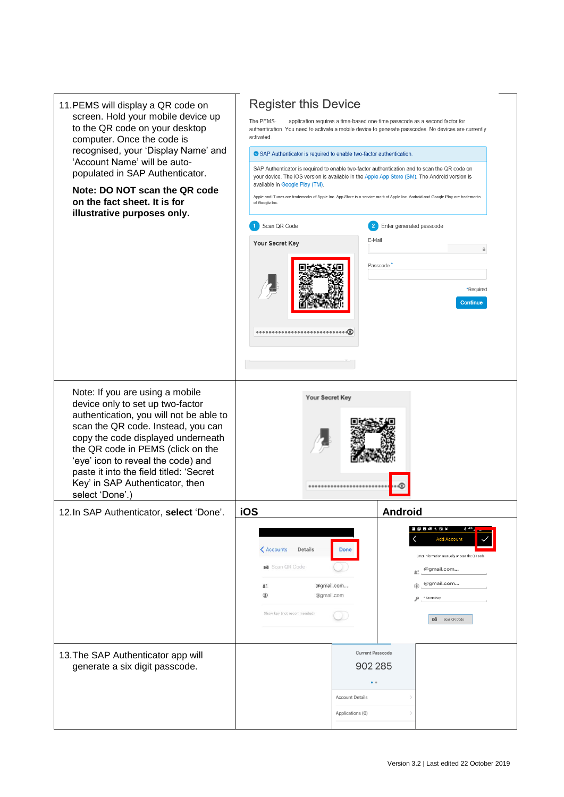